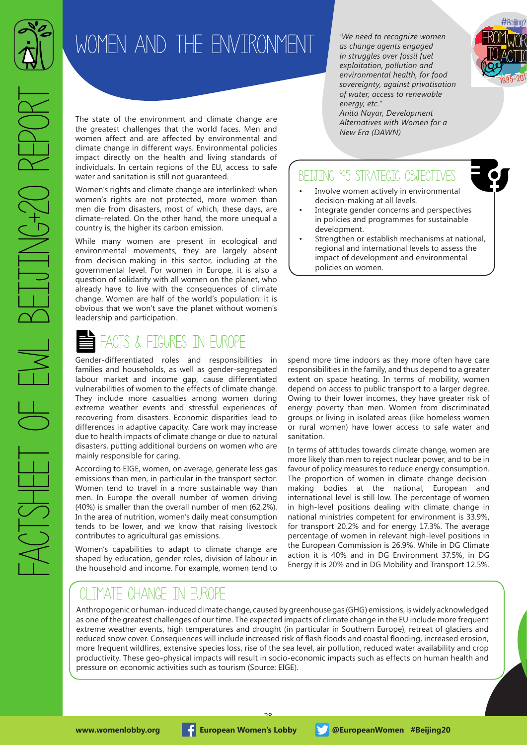

# WOMEN AND THE ENVIRONMENT *we need to recognize women*  $\mathcal{W}$  as change agents engaged

The state of the environment and climate change are the greatest challenges that the world faces. Men and women affect and are affected by environmental and climate change in different ways. Environmental policies impact directly on the health and living standards of individuals. In certain regions of the EU, access to safe water and sanitation is still not guaranteed.

Women's rights and climate change are interlinked: when women's rights are not protected, more women than men die from disasters, most of which, these days, are climate-related. On the other hand, the more unequal a country is, the higher its carbon emission.

While many women are present in ecological and environmental movements, they are largely absent from decision-making in this sector, including at the governmental level. For women in Europe, it is also a question of solidarity with all women on the planet, who already have to live with the consequences of climate change. Women are half of the world's population: it is obvious that we won't save the planet without women's leadership and participation.

## FACTS & FIGURES TN FUROPF

Gender-differentiated roles and responsibilities in families and households, as well as gender-segregated labour market and income gap, cause differentiated vulnerabilities of women to the effects of climate change. They include more casualties among women during extreme weather events and stressful experiences of recovering from disasters. Economic disparities lead to differences in adaptive capacity. Care work may increase due to health impacts of climate change or due to natural disasters, putting additional burdens on women who are mainly responsible for caring.

According to EIGE, women, on average, generate less gas emissions than men, in particular in the transport sector. Women tend to travel in a more sustainable way than men. In Europe the overall number of women driving (40%) is smaller than the overall number of men (62,2%). In the area of nutrition, women's daily meat consumption tends to be lower, and we know that raising livestock contributes to agricultural gas emissions.

Women's capabilities to adapt to climate change are shaped by education, gender roles, division of labour in the household and income. For example, women tend to

*as change agents engaged in struggles over fossil fuel exploitation, pollution and environmental health, for food sovereignty, against privatisation of water, access to renewable energy, etc." Anita Nayar, Development Alternatives with Women for a New Era (DAWN)*



#### beijing '95 Strategic objectives

- Involve women actively in environmental decision-making at all levels.
- Integrate gender concerns and perspectives in policies and programmes for sustainable development.
- Strengthen or establish mechanisms at national, regional and international levels to assess the impact of development and environmental policies on women.

spend more time indoors as they more often have care responsibilities in the family, and thus depend to a greater extent on space heating. In terms of mobility, women depend on access to public transport to a larger degree. Owing to their lower incomes, they have greater risk of energy poverty than men. Women from discriminated groups or living in isolated areas (like homeless women or rural women) have lower access to safe water and sanitation.

In terms of attitudes towards climate change, women are more likely than men to reject nuclear power, and to be in favour of policy measures to reduce energy consumption. The proportion of women in climate change decisionmaking bodies at the national, European and international level is still low. The percentage of women in high-level positions dealing with climate change in national ministries competent for environment is 33.9%, for transport 20.2% and for energy 17.3%. The average percentage of women in relevant high-level positions in the European Commission is 26.9%. While in DG Climate action it is 40% and in DG Environment 37.5%, in DG Energy it is 20% and in DG Mobility and Transport 12.5%.

#### TMATE CHANGE IN FUROPE

Anthropogenic or human-induced climate change, caused by greenhouse gas (GHG) emissions, is widely acknowledged as one of the greatest challenges of our time. The expected impacts of climate change in the EU include more frequent extreme weather events, high temperatures and drought (in particular in Southern Europe), retreat of glaciers and reduced snow cover. Consequences will include increased risk of flash floods and coastal flooding, increased erosion, more frequent wildfires, extensive species loss, rise of the sea level, air pollution, reduced water availability and crop productivity. These geo-physical impacts will result in socio-economic impacts such as effects on human health and pressure on economic activities such as tourism (Source: EIGE). Anthropogenic or human-induced climate change, caused by greenhouse gas (GHG) emissions, is widely acknowledged<br>as one of the greatest challenges of our time. The expected impacts of climate change in the EU include more f

 $\overline{\mathcal{Q}}$